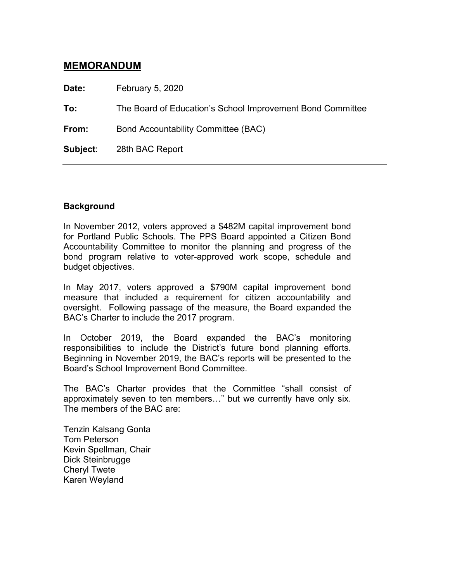# **MEMORANDUM**

**Date:** February 5, 2020

**To:** The Board of Education's School Improvement Bond Committee

**From:** Bond Accountability Committee (BAC)

**Subject**: 28th BAC Report

### **Background**

In November 2012, voters approved a \$482M capital improvement bond for Portland Public Schools. The PPS Board appointed a Citizen Bond Accountability Committee to monitor the planning and progress of the bond program relative to voter-approved work scope, schedule and budget objectives.

In May 2017, voters approved a \$790M capital improvement bond measure that included a requirement for citizen accountability and oversight. Following passage of the measure, the Board expanded the BAC's Charter to include the 2017 program.

In October 2019, the Board expanded the BAC's monitoring responsibilities to include the District's future bond planning efforts. Beginning in November 2019, the BAC's reports will be presented to the Board's School Improvement Bond Committee.

The BAC's Charter provides that the Committee "shall consist of approximately seven to ten members…" but we currently have only six. The members of the BAC are:

Tenzin Kalsang Gonta Tom Peterson Kevin Spellman, Chair Dick Steinbrugge Cheryl Twete Karen Weyland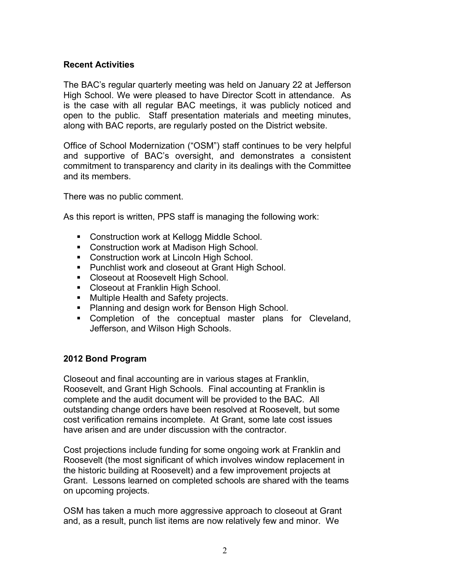## **Recent Activities**

The BAC's regular quarterly meeting was held on January 22 at Jefferson High School. We were pleased to have Director Scott in attendance. As is the case with all regular BAC meetings, it was publicly noticed and open to the public. Staff presentation materials and meeting minutes, along with BAC reports, are regularly posted on the District website.

Office of School Modernization ("OSM") staff continues to be very helpful and supportive of BAC's oversight, and demonstrates a consistent commitment to transparency and clarity in its dealings with the Committee and its members.

There was no public comment.

As this report is written, PPS staff is managing the following work:

- Construction work at Kellogg Middle School.
- **Construction work at Madison High School.**
- Construction work at Lincoln High School.
- **Punchlist work and closeout at Grant High School.**
- **Closeout at Roosevelt High School.**
- **Closeout at Franklin High School.**
- **Multiple Health and Safety projects.**
- **Planning and design work for Benson High School.**
- Completion of the conceptual master plans for Cleveland, Jefferson, and Wilson High Schools.

### **2012 Bond Program**

Closeout and final accounting are in various stages at Franklin, Roosevelt, and Grant High Schools. Final accounting at Franklin is complete and the audit document will be provided to the BAC. All outstanding change orders have been resolved at Roosevelt, but some cost verification remains incomplete. At Grant, some late cost issues have arisen and are under discussion with the contractor.

Cost projections include funding for some ongoing work at Franklin and Roosevelt (the most significant of which involves window replacement in the historic building at Roosevelt) and a few improvement projects at Grant. Lessons learned on completed schools are shared with the teams on upcoming projects.

OSM has taken a much more aggressive approach to closeout at Grant and, as a result, punch list items are now relatively few and minor. We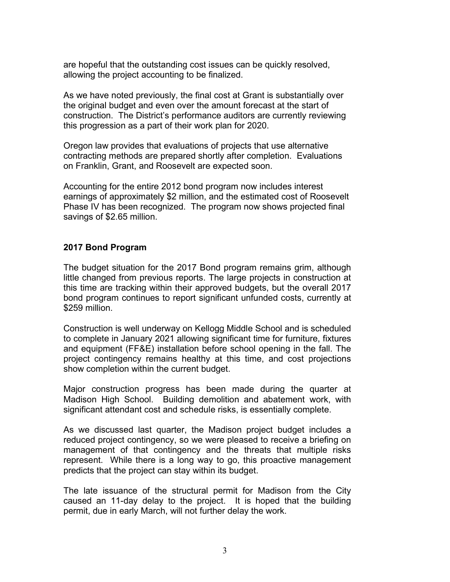are hopeful that the outstanding cost issues can be quickly resolved, allowing the project accounting to be finalized.

As we have noted previously, the final cost at Grant is substantially over the original budget and even over the amount forecast at the start of construction. The District's performance auditors are currently reviewing this progression as a part of their work plan for 2020.

Oregon law provides that evaluations of projects that use alternative contracting methods are prepared shortly after completion. Evaluations on Franklin, Grant, and Roosevelt are expected soon.

Accounting for the entire 2012 bond program now includes interest earnings of approximately \$2 million, and the estimated cost of Roosevelt Phase IV has been recognized. The program now shows projected final savings of \$2.65 million.

### **2017 Bond Program**

The budget situation for the 2017 Bond program remains grim, although little changed from previous reports. The large projects in construction at this time are tracking within their approved budgets, but the overall 2017 bond program continues to report significant unfunded costs, currently at \$259 million.

Construction is well underway on Kellogg Middle School and is scheduled to complete in January 2021 allowing significant time for furniture, fixtures and equipment (FF&E) installation before school opening in the fall. The project contingency remains healthy at this time, and cost projections show completion within the current budget.

Major construction progress has been made during the quarter at Madison High School. Building demolition and abatement work, with significant attendant cost and schedule risks, is essentially complete.

As we discussed last quarter, the Madison project budget includes a reduced project contingency, so we were pleased to receive a briefing on management of that contingency and the threats that multiple risks represent. While there is a long way to go, this proactive management predicts that the project can stay within its budget.

The late issuance of the structural permit for Madison from the City caused an 11-day delay to the project. It is hoped that the building permit, due in early March, will not further delay the work.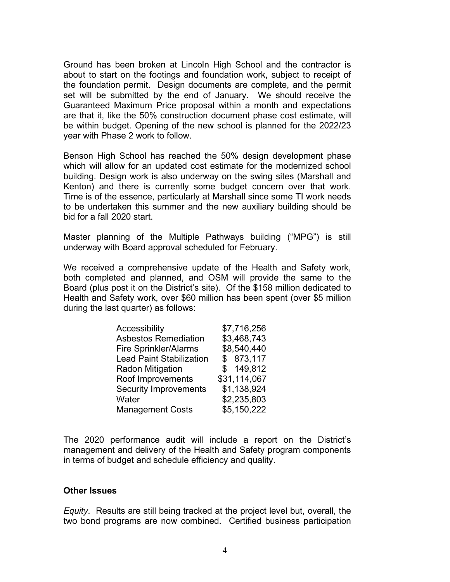Ground has been broken at Lincoln High School and the contractor is about to start on the footings and foundation work, subject to receipt of the foundation permit. Design documents are complete, and the permit set will be submitted by the end of January. We should receive the Guaranteed Maximum Price proposal within a month and expectations are that it, like the 50% construction document phase cost estimate, will be within budget. Opening of the new school is planned for the 2022/23 year with Phase 2 work to follow.

Benson High School has reached the 50% design development phase which will allow for an updated cost estimate for the modernized school building. Design work is also underway on the swing sites (Marshall and Kenton) and there is currently some budget concern over that work. Time is of the essence, particularly at Marshall since some TI work needs to be undertaken this summer and the new auxiliary building should be bid for a fall 2020 start.

Master planning of the Multiple Pathways building ("MPG") is still underway with Board approval scheduled for February.

We received a comprehensive update of the Health and Safety work, both completed and planned, and OSM will provide the same to the Board (plus post it on the District's site). Of the \$158 million dedicated to Health and Safety work, over \$60 million has been spent (over \$5 million during the last quarter) as follows:

| Accessibility                   | \$7,716,256  |
|---------------------------------|--------------|
| <b>Asbestos Remediation</b>     | \$3,468,743  |
| <b>Fire Sprinkler/Alarms</b>    | \$8,540,440  |
| <b>Lead Paint Stabilization</b> | \$873,117    |
| <b>Radon Mitigation</b>         | \$149,812    |
| Roof Improvements               | \$31,114,067 |
| <b>Security Improvements</b>    | \$1,138,924  |
| Water                           | \$2,235,803  |
| <b>Management Costs</b>         | \$5,150,222  |

The 2020 performance audit will include a report on the District's management and delivery of the Health and Safety program components in terms of budget and schedule efficiency and quality.

#### **Other Issues**

*Equity*. Results are still being tracked at the project level but, overall, the two bond programs are now combined. Certified business participation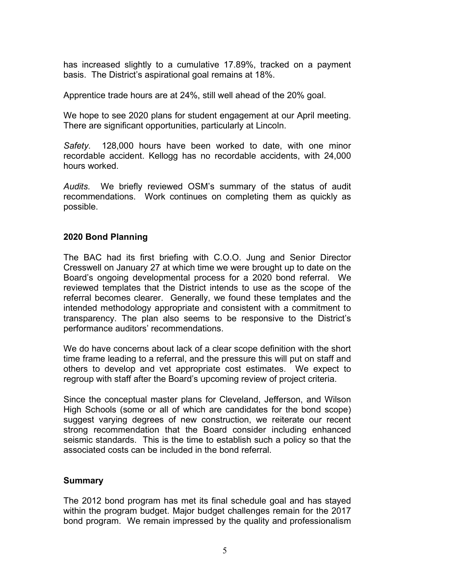has increased slightly to a cumulative 17.89%, tracked on a payment basis. The District's aspirational goal remains at 18%.

Apprentice trade hours are at 24%, still well ahead of the 20% goal.

We hope to see 2020 plans for student engagement at our April meeting. There are significant opportunities, particularly at Lincoln.

*Safety.* 128,000 hours have been worked to date, with one minor recordable accident. Kellogg has no recordable accidents, with 24,000 hours worked.

*Audits.* We briefly reviewed OSM's summary of the status of audit recommendations. Work continues on completing them as quickly as possible.

### **2020 Bond Planning**

The BAC had its first briefing with C.O.O. Jung and Senior Director Cresswell on January 27 at which time we were brought up to date on the Board's ongoing developmental process for a 2020 bond referral. We reviewed templates that the District intends to use as the scope of the referral becomes clearer. Generally, we found these templates and the intended methodology appropriate and consistent with a commitment to transparency. The plan also seems to be responsive to the District's performance auditors' recommendations.

We do have concerns about lack of a clear scope definition with the short time frame leading to a referral, and the pressure this will put on staff and others to develop and vet appropriate cost estimates. We expect to regroup with staff after the Board's upcoming review of project criteria.

Since the conceptual master plans for Cleveland, Jefferson, and Wilson High Schools (some or all of which are candidates for the bond scope) suggest varying degrees of new construction, we reiterate our recent strong recommendation that the Board consider including enhanced seismic standards. This is the time to establish such a policy so that the associated costs can be included in the bond referral.

### **Summary**

The 2012 bond program has met its final schedule goal and has stayed within the program budget. Major budget challenges remain for the 2017 bond program. We remain impressed by the quality and professionalism